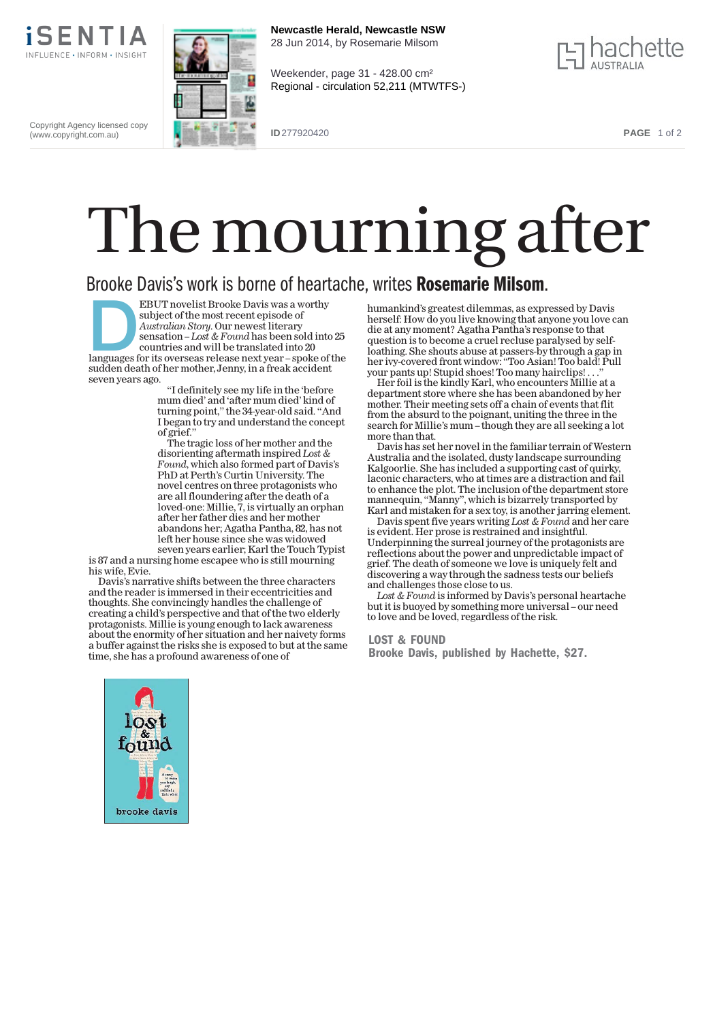

Copyright Agency licensed copy (www.copyright.com.au)







**ID** 277920420 **PAGE** 1 of 2

## The mourning after

## Brooke Davis's work is borne of heartache, writes Rosemarie Milsom.

EBUT novelist Brooke Davis was a worthy<br>subject of the most recent episode of<br>Australian Story. Our newest literary<br>sensation – Lost & Found has been sold into 25<br>countries and will be translated into 20<br>languages for its subject of the most recent episode of *Australian Story*. Our newest literary sensation –*Lost & Found*has been sold into 25 countries and will be translated into 20 sudden death of hermother, Jenny, in a freak accident seven years ago.

''I definitely seemy life in the 'before mum died' and 'aftermum died' kind of turning point,'' the 34-year-old said. ''And I began to try and understand the concept of grief.''

The tragic loss of her mother and the disorienting aftermath inspired*Lost & Found*, which also formed part of Davis's PhD at Perth's Curtin University. The novel centres on three protagonists who are all floundering after the death of a loved-one: Millie,  $\overline{7}$ , is virtually an orphan after her father dies and hermother abandons her; Agatha Pantha, 82, has not left her house since she was widowed seven years earlier; Karl the Touch Typist

is 87 and a nursing home escapee who is still mourning his wife, Evie.

Davis's narrative shifts between the three characters and the reader is immersed in their eccentricities and thoughts. She convincingly handles the challenge of creating a child's perspective and that of the two elderly protagonists.Millie is young enough to lack awareness about the enormity of her situation and her naivety forms a buffer against the risks she is exposed to but at the same time, she has a profound awareness of one of

humankind's greatest dilemmas, as expressed by Davis herself: How do you live knowing that anyone you love can die at anymoment? Agatha Pantha's response to that question is to become a cruel recluse paralysed by selfloathing. She shouts abuse at passers-by through a gap in her ivy-covered front window: ''Too Asian! Too bald! Pull your pants up! Stupid shoes! Toomany hairclips! . . .''

Her foil is the kindly Karl, who encounters Millie at a department store where she has been abandoned by her mother. Their meeting sets off a chain of events that flit from the absurd to the poignant, uniting the three in the search for Millie's mum – though they are all seeking a lot more than that.

Davis has set her novel in the familiar terrain of Western Australia and the isolated, dusty landscape surrounding Kalgoorlie. She has included a supporting cast of quirky, laconic characters, who at times are a distraction and fail to enhance the plot. The inclusion of the department store mannequin, "Manny", which is bizarrely transported by Karl and mistaken for a sex toy, is another jarring element.

Davis spent five years writing*Lost & Found*and her care is evident.Her prose is restrained and insightful. Underpinning the surreal journey of the protagonists are reflections about the power and unpredictable impact of grief. The death of someone we love is uniquely felt and discovering a way through the sadness tests our beliefs and challenges those close to us.

Lost & Found is informed by Davis's personal heartache but it is buoyed by something more universal – our need to love and be loved, regardless of the risk.

## LOST & FOUND

Brooke Davis, published by Hachette, \$27.